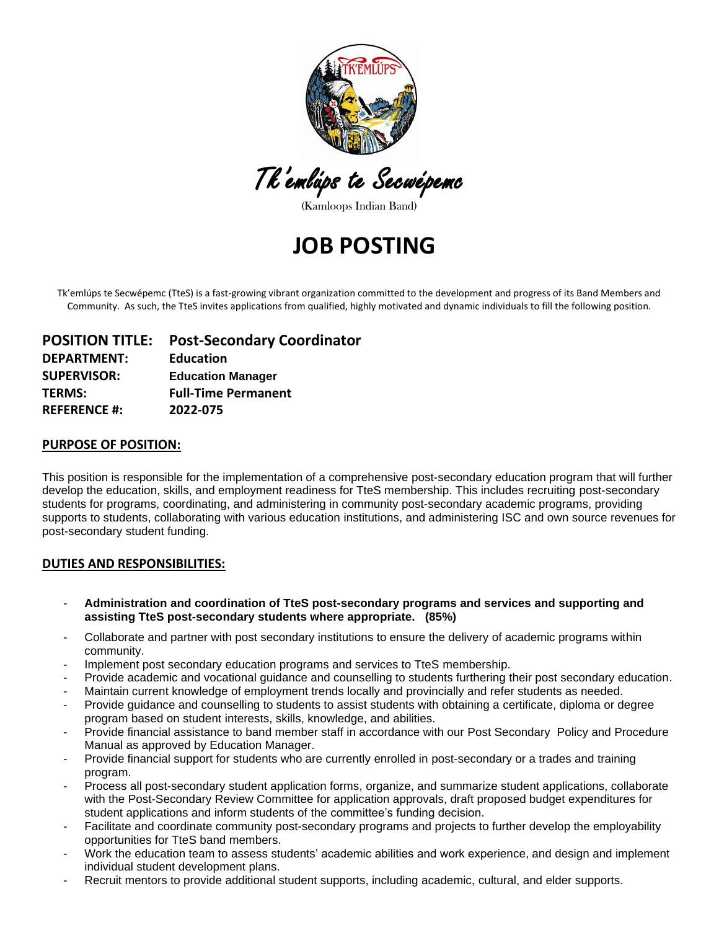

Tk'emlúps te Secwépemc

(Kamloops Indian Band)

# **JOB POSTING**

Tk'emlúps te Secwépemc (TteS) is a fast-growing vibrant organization committed to the development and progress of its Band Members and Community. As such, the TteS invites applications from qualified, highly motivated and dynamic individuals to fill the following position.

## **POSITION TITLE: Post-Secondary Coordinator DEPARTMENT: Education SUPERVISOR: Education Manager TERMS: Full-Time Permanent REFERENCE #: 2022-075**

#### **PURPOSE OF POSITION:**

This position is responsible for the implementation of a comprehensive post-secondary education program that will further develop the education, skills, and employment readiness for TteS membership. This includes recruiting post-secondary students for programs, coordinating, and administering in community post-secondary academic programs, providing supports to students, collaborating with various education institutions, and administering ISC and own source revenues for post-secondary student funding.

#### **DUTIES AND RESPONSIBILITIES:**

- **Administration and coordination of TteS post-secondary programs and services and supporting and assisting TteS post-secondary students where appropriate. (85%)**
- Collaborate and partner with post secondary institutions to ensure the delivery of academic programs within community.
- Implement post secondary education programs and services to TteS membership.
- Provide academic and vocational guidance and counselling to students furthering their post secondary education.
- Maintain current knowledge of employment trends locally and provincially and refer students as needed.
- Provide guidance and counselling to students to assist students with obtaining a certificate, diploma or degree program based on student interests, skills, knowledge, and abilities.
- Provide financial assistance to band member staff in accordance with our Post Secondary Policy and Procedure Manual as approved by Education Manager.
- Provide financial support for students who are currently enrolled in post-secondary or a trades and training program.
- Process all post-secondary student application forms, organize, and summarize student applications, collaborate with the Post-Secondary Review Committee for application approvals, draft proposed budget expenditures for student applications and inform students of the committee's funding decision.
- Facilitate and coordinate community post-secondary programs and projects to further develop the employability opportunities for TteS band members.
- Work the education team to assess students' academic abilities and work experience, and design and implement individual student development plans.
- Recruit mentors to provide additional student supports, including academic, cultural, and elder supports.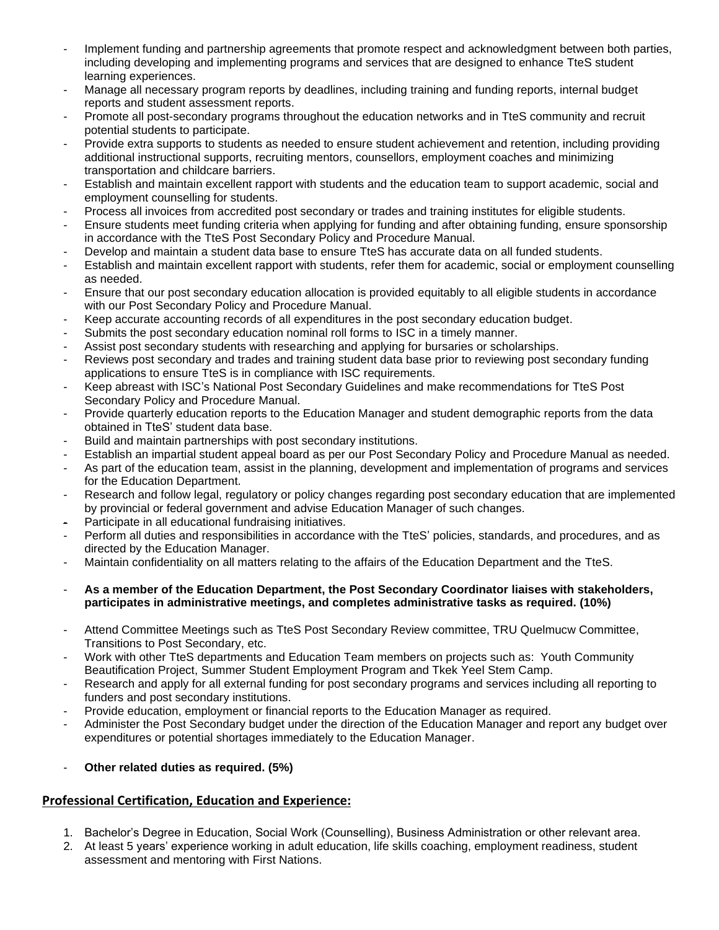- Implement funding and partnership agreements that promote respect and acknowledgment between both parties, including developing and implementing programs and services that are designed to enhance TteS student learning experiences.
- Manage all necessary program reports by deadlines, including training and funding reports, internal budget reports and student assessment reports.
- Promote all post-secondary programs throughout the education networks and in TteS community and recruit potential students to participate.
- Provide extra supports to students as needed to ensure student achievement and retention, including providing additional instructional supports, recruiting mentors, counsellors, employment coaches and minimizing transportation and childcare barriers.
- Establish and maintain excellent rapport with students and the education team to support academic, social and employment counselling for students.
- Process all invoices from accredited post secondary or trades and training institutes for eligible students.
- Ensure students meet funding criteria when applying for funding and after obtaining funding, ensure sponsorship in accordance with the TteS Post Secondary Policy and Procedure Manual.
- Develop and maintain a student data base to ensure TteS has accurate data on all funded students.
- Establish and maintain excellent rapport with students, refer them for academic, social or employment counselling as needed.
- Ensure that our post secondary education allocation is provided equitably to all eligible students in accordance with our Post Secondary Policy and Procedure Manual.
- Keep accurate accounting records of all expenditures in the post secondary education budget.
- Submits the post secondary education nominal roll forms to ISC in a timely manner.
- Assist post secondary students with researching and applying for bursaries or scholarships.
- Reviews post secondary and trades and training student data base prior to reviewing post secondary funding applications to ensure TteS is in compliance with ISC requirements.
- Keep abreast with ISC's National Post Secondary Guidelines and make recommendations for TteS Post Secondary Policy and Procedure Manual.
- Provide quarterly education reports to the Education Manager and student demographic reports from the data obtained in TteS' student data base.
- Build and maintain partnerships with post secondary institutions.
- Establish an impartial student appeal board as per our Post Secondary Policy and Procedure Manual as needed.
- As part of the education team, assist in the planning, development and implementation of programs and services for the Education Department.
- Research and follow legal, regulatory or policy changes regarding post secondary education that are implemented by provincial or federal government and advise Education Manager of such changes.
- Participate in all educational fundraising initiatives.
- Perform all duties and responsibilities in accordance with the TteS' policies, standards, and procedures, and as directed by the Education Manager.
- Maintain confidentiality on all matters relating to the affairs of the Education Department and the TteS.
- **As a member of the Education Department, the Post Secondary Coordinator liaises with stakeholders, participates in administrative meetings, and completes administrative tasks as required. (10%)**
- Attend Committee Meetings such as TteS Post Secondary Review committee, TRU Quelmucw Committee, Transitions to Post Secondary, etc.
- Work with other TteS departments and Education Team members on projects such as: Youth Community Beautification Project, Summer Student Employment Program and Tkek Yeel Stem Camp.
- Research and apply for all external funding for post secondary programs and services including all reporting to funders and post secondary institutions.
- Provide education, employment or financial reports to the Education Manager as required.
- Administer the Post Secondary budget under the direction of the Education Manager and report any budget over expenditures or potential shortages immediately to the Education Manager.
- **Other related duties as required. (5%)**

### **Professional Certification, Education and Experience:**

- 1. Bachelor's Degree in Education, Social Work (Counselling), Business Administration or other relevant area.
- 2. At least 5 years' experience working in adult education, life skills coaching, employment readiness, student assessment and mentoring with First Nations.